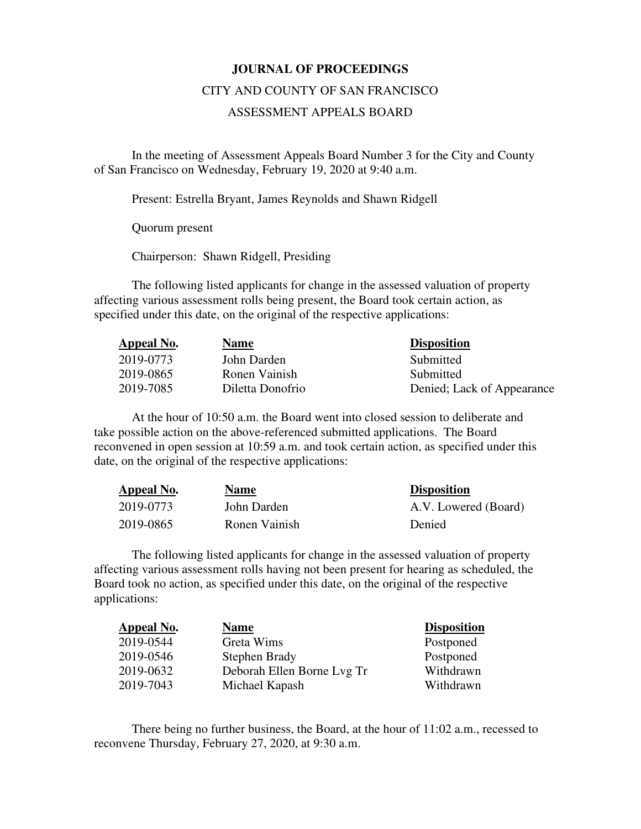## **JOURNAL OF PROCEEDINGS**

## CITY AND COUNTY OF SAN FRANCISCO

## ASSESSMENT APPEALS BOARD

 In the meeting of Assessment Appeals Board Number 3 for the City and County of San Francisco on Wednesday, February 19, 2020 at 9:40 a.m.

Present: Estrella Bryant, James Reynolds and Shawn Ridgell

Quorum present

Chairperson: Shawn Ridgell, Presiding

The following listed applicants for change in the assessed valuation of property affecting various assessment rolls being present, the Board took certain action, as specified under this date, on the original of the respective applications:

| Appeal No. | <b>Name</b>      | <b>Disposition</b>         |
|------------|------------------|----------------------------|
| 2019-0773  | John Darden      | Submitted                  |
| 2019-0865  | Ronen Vainish    | Submitted                  |
| 2019-7085  | Diletta Donofrio | Denied; Lack of Appearance |

At the hour of 10:50 a.m. the Board went into closed session to deliberate and take possible action on the above-referenced submitted applications. The Board reconvened in open session at 10:59 a.m. and took certain action, as specified under this date, on the original of the respective applications:

| Appeal No. | <u>Name</u>   | <b>Disposition</b>   |
|------------|---------------|----------------------|
| 2019-0773  | John Darden   | A.V. Lowered (Board) |
| 2019-0865  | Ronen Vainish | Denied               |

The following listed applicants for change in the assessed valuation of property affecting various assessment rolls having not been present for hearing as scheduled, the Board took no action, as specified under this date, on the original of the respective applications:

| Appeal No. | <b>Name</b>                | <b>Disposition</b> |
|------------|----------------------------|--------------------|
| 2019-0544  | Greta Wims                 | Postponed          |
| 2019-0546  | Stephen Brady              | Postponed          |
| 2019-0632  | Deborah Ellen Borne Lvg Tr | Withdrawn          |
| 2019-7043  | Michael Kapash             | Withdrawn          |

There being no further business, the Board, at the hour of 11:02 a.m., recessed to reconvene Thursday, February 27, 2020, at 9:30 a.m.